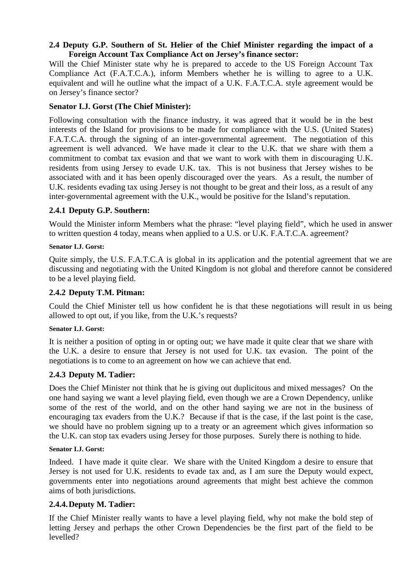### **2.4 Deputy G.P. Southern of St. Helier of the Chief Minister regarding the impact of a Foreign Account Tax Compliance Act on Jersey's finance sector:**

Will the Chief Minister state why he is prepared to accede to the US Foreign Account Tax Compliance Act (F.A.T.C.A.), inform Members whether he is willing to agree to a U.K. equivalent and will he outline what the impact of a U.K. F.A.T.C.A. style agreement would be on Jersey's finance sector?

# **Senator I.J. Gorst (The Chief Minister):**

Following consultation with the finance industry, it was agreed that it would be in the best interests of the Island for provisions to be made for compliance with the U.S. (United States) F.A.T.C.A. through the signing of an inter-governmental agreement. The negotiation of this agreement is well advanced. We have made it clear to the U.K. that we share with them a commitment to combat tax evasion and that we want to work with them in discouraging U.K. residents from using Jersey to evade U.K. tax. This is not business that Jersey wishes to be associated with and it has been openly discouraged over the years. As a result, the number of U.K. residents evading tax using Jersey is not thought to be great and their loss, as a result of any inter-governmental agreement with the U.K., would be positive for the Island's reputation.

# **2.4.1 Deputy G.P. Southern:**

Would the Minister inform Members what the phrase: "level playing field", which he used in answer to written question 4 today, means when applied to a U.S. or U.K. F.A.T.C.A. agreement?

### **Senator I.J. Gorst:**

Quite simply, the U.S. F.A.T.C.A is global in its application and the potential agreement that we are discussing and negotiating with the United Kingdom is not global and therefore cannot be considered to be a level playing field.

## **2.4.2 Deputy T.M. Pitman:**

Could the Chief Minister tell us how confident he is that these negotiations will result in us being allowed to opt out, if you like, from the U.K.'s requests?

### **Senator I.J. Gorst:**

It is neither a position of opting in or opting out; we have made it quite clear that we share with the U.K. a desire to ensure that Jersey is not used for U.K. tax evasion. The point of the negotiations is to come to an agreement on how we can achieve that end.

## **2.4.3 Deputy M. Tadier:**

Does the Chief Minister not think that he is giving out duplicitous and mixed messages? On the one hand saying we want a level playing field, even though we are a Crown Dependency, unlike some of the rest of the world, and on the other hand saying we are not in the business of encouraging tax evaders from the U.K.? Because if that is the case, if the last point is the case, we should have no problem signing up to a treaty or an agreement which gives information so the U.K. can stop tax evaders using Jersey for those purposes. Surely there is nothing to hide.

### **Senator I.J. Gorst:**

Indeed. I have made it quite clear. We share with the United Kingdom a desire to ensure that Jersey is not used for U.K. residents to evade tax and, as I am sure the Deputy would expect, governments enter into negotiations around agreements that might best achieve the common aims of both jurisdictions.

## **2.4.4. Deputy M. Tadier:**

If the Chief Minister really wants to have a level playing field, why not make the bold step of letting Jersey and perhaps the other Crown Dependencies be the first part of the field to be levelled?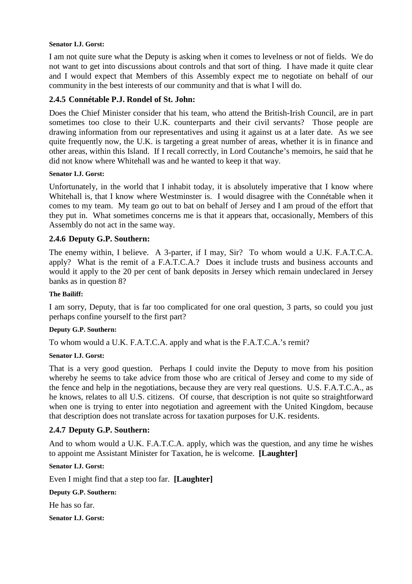#### **Senator I.J. Gorst:**

I am not quite sure what the Deputy is asking when it comes to levelness or not of fields. We do not want to get into discussions about controls and that sort of thing. I have made it quite clear and I would expect that Members of this Assembly expect me to negotiate on behalf of our community in the best interests of our community and that is what I will do.

## **2.4.5 Connétable P.J. Rondel of St. John:**

Does the Chief Minister consider that his team, who attend the British-Irish Council, are in part sometimes too close to their U.K. counterparts and their civil servants? Those people are drawing information from our representatives and using it against us at a later date. As we see quite frequently now, the U.K. is targeting a great number of areas, whether it is in finance and other areas, within this Island. If I recall correctly, in Lord Coutanche's memoirs, he said that he did not know where Whitehall was and he wanted to keep it that way.

### **Senator I.J. Gorst:**

Unfortunately, in the world that I inhabit today, it is absolutely imperative that I know where Whitehall is, that I know where Westminster is. I would disagree with the Connétable when it comes to my team. My team go out to bat on behalf of Jersey and I am proud of the effort that they put in. What sometimes concerns me is that it appears that, occasionally, Members of this Assembly do not act in the same way.

### **2.4.6 Deputy G.P. Southern:**

The enemy within, I believe. A 3-parter, if I may, Sir? To whom would a U.K. F.A.T.C.A. apply? What is the remit of a F.A.T.C.A.? Does it include trusts and business accounts and would it apply to the 20 per cent of bank deposits in Jersey which remain undeclared in Jersey banks as in question 8?

#### **The Bailiff:**

I am sorry, Deputy, that is far too complicated for one oral question, 3 parts, so could you just perhaps confine yourself to the first part?

### **Deputy G.P. Southern:**

To whom would a U.K. F.A.T.C.A. apply and what is the F.A.T.C.A.'s remit?

### **Senator I.J. Gorst:**

That is a very good question. Perhaps I could invite the Deputy to move from his position whereby he seems to take advice from those who are critical of Jersey and come to my side of the fence and help in the negotiations, because they are very real questions. U.S. F.A.T.C.A., as he knows, relates to all U.S. citizens. Of course, that description is not quite so straightforward when one is trying to enter into negotiation and agreement with the United Kingdom, because that description does not translate across for taxation purposes for U.K. residents.

## **2.4.7 Deputy G.P. Southern:**

And to whom would a U.K. F.A.T.C.A. apply, which was the question, and any time he wishes to appoint me Assistant Minister for Taxation, he is welcome. **[Laughter]** 

#### **Senator I.J. Gorst:**

Even I might find that a step too far. **[Laughter]** 

#### **Deputy G.P. Southern:**

He has so far.

**Senator I.J. Gorst:**